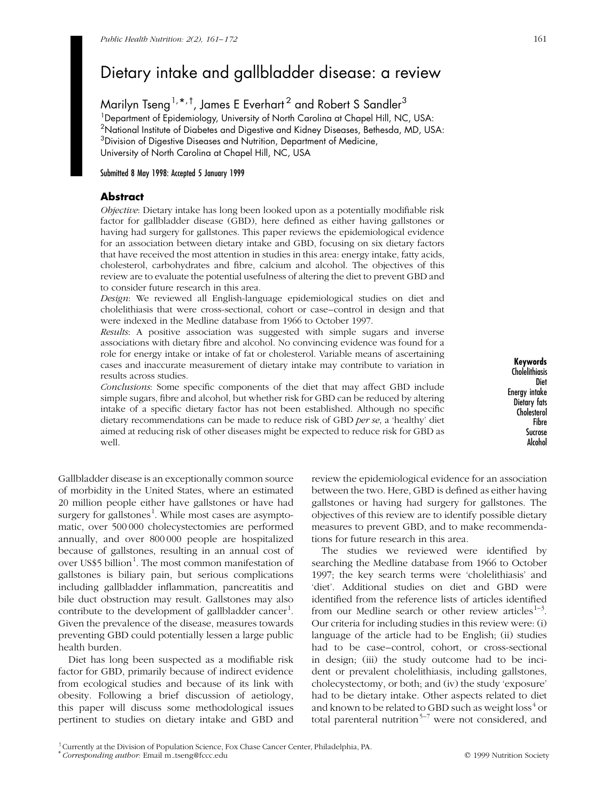# Dietary intake and gallbladder disease: a review

Marilyn Tseng  $^{\text{1,}\star,\dagger}$ , James E Everhart  $^{\text{2}}$  and Robert S Sandler $^{\text{3}}$ 

<sup>1</sup>Department of Epidemiology, University of North Carolina at Chapel Hill, NC, USA: <sup>2</sup>National Institute of Diabetes and Digestive and Kidney Diseases, Bethesda, MD, USA:  $3$ Division of Digestive Diseases and Nutrition, Department of Medicine, University of North Carolina at Chapel Hill, NC, USA

#### Submitted 8 May 1998: Accepted 5 January 1999

# **Abstract**

*Objective*: Dietary intake has long been looked upon as a potentially modifiable risk factor for gallbladder disease (GBD), here defined as either having gallstones or having had surgery for gallstones. This paper reviews the epidemiological evidence for an association between dietary intake and GBD, focusing on six dietary factors that have received the most attention in studies in this area: energy intake, fatty acids, cholesterol, carbohydrates and fibre, calcium and alcohol. The objectives of this review are to evaluate the potential usefulness of altering the diet to prevent GBD and to consider future research in this area.

*Design*: We reviewed all English-language epidemiological studies on diet and cholelithiasis that were cross-sectional, cohort or case–control in design and that were indexed in the Medline database from 1966 to October 1997.

*Results*: A positive association was suggested with simple sugars and inverse associations with dietary fibre and alcohol. No convincing evidence was found for a role for energy intake or intake of fat or cholesterol. Variable means of ascertaining cases and inaccurate measurement of dietary intake may contribute to variation in results across studies.

*Conclusions*: Some specific components of the diet that may affect GBD include simple sugars, fibre and alcohol, but whether risk for GBD can be reduced by altering intake of a specific dietary factor has not been established. Although no specific dietary recommendations can be made to reduce risk of GBD *per se*, a 'healthy' diet aimed at reducing risk of other diseases might be expected to reduce risk for GBD as well.

Gallbladder disease is an exceptionally common source of morbidity in the United States, where an estimated 20 million people either have gallstones or have had surgery for gallstones $^1$ . While most cases are asymptomatic, over 500 000 cholecystectomies are performed annually, and over 800 000 people are hospitalized because of gallstones, resulting in an annual cost of over US\$5 billion<sup>1</sup>. The most common manifestation of gallstones is biliary pain, but serious complications including gallbladder inflammation, pancreatitis and bile duct obstruction may result. Gallstones may also contribute to the development of gallbladder cancer<sup>1</sup>. Given the prevalence of the disease, measures towards preventing GBD could potentially lessen a large public health burden.

Diet has long been suspected as a modifiable risk factor for GBD, primarily because of indirect evidence from ecological studies and because of its link with obesity. Following a brief discussion of aetiology, this paper will discuss some methodological issues pertinent to studies on dietary intake and GBD and review the epidemiological evidence for an association between the two. Here, GBD is defined as either having gallstones or having had surgery for gallstones. The objectives of this review are to identify possible dietary measures to prevent GBD, and to make recommendations for future research in this area.

The studies we reviewed were identified by searching the Medline database from 1966 to October 1997; the key search terms were 'cholelithiasis' and 'diet'. Additional studies on diet and GBD were identified from the reference lists of articles identified from our Medline search or other review articles<sup>1-3</sup>. Our criteria for including studies in this review were: (i) language of the article had to be English; (ii) studies had to be case–control, cohort, or cross-sectional in design; (iii) the study outcome had to be incident or prevalent cholelithiasis, including gallstones, cholecystectomy, or both; and (iv) the study 'exposure' had to be dietary intake. Other aspects related to diet and known to be related to GBD such as weight  $\cos^4$  or total parenteral nutrition<sup>5–7</sup> were not considered, and

<sup>†</sup> Currently at the Division of Population Science, Fox Chase Cancer Center, Philadelphia, PA.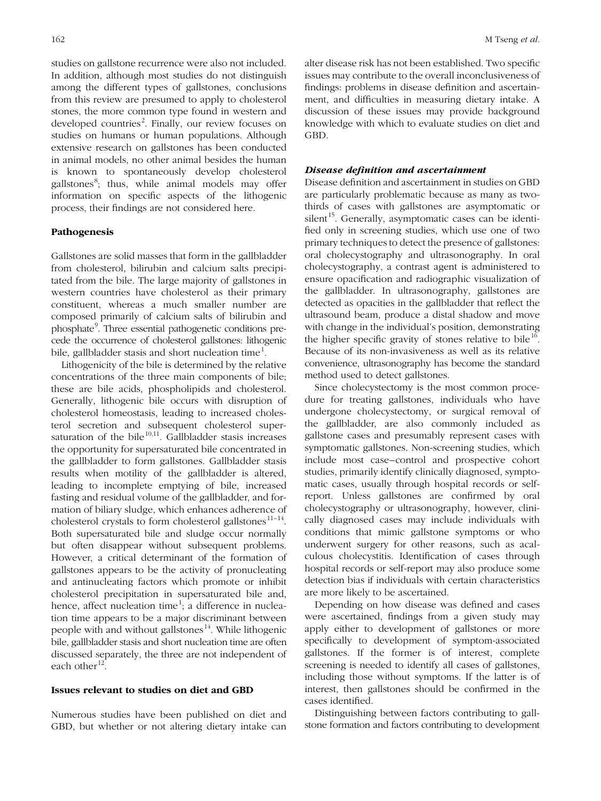studies on gallstone recurrence were also not included. In addition, although most studies do not distinguish among the different types of gallstones, conclusions from this review are presumed to apply to cholesterol stones, the more common type found in western and developed countries<sup>2</sup>. Finally, our review focuses on studies on humans or human populations. Although extensive research on gallstones has been conducted in animal models, no other animal besides the human is known to spontaneously develop cholesterol gallstones<sup>8</sup>; thus, while animal models may offer information on specific aspects of the lithogenic process, their findings are not considered here.

## **Pathogenesis**

Gallstones are solid masses that form in the gallbladder from cholesterol, bilirubin and calcium salts precipitated from the bile. The large majority of gallstones in western countries have cholesterol as their primary constituent, whereas a much smaller number are composed primarily of calcium salts of bilirubin and phosphate<sup>9</sup>. Three essential pathogenetic conditions precede the occurrence of cholesterol gallstones: lithogenic bile, gallbladder stasis and short nucleation time $^{\rm 1}.$ 

Lithogenicity of the bile is determined by the relative concentrations of the three main components of bile; these are bile acids, phospholipids and cholesterol. Generally, lithogenic bile occurs with disruption of cholesterol homeostasis, leading to increased cholesterol secretion and subsequent cholesterol supersaturation of the bile $10,11$ . Gallbladder stasis increases the opportunity for supersaturated bile concentrated in the gallbladder to form gallstones. Gallbladder stasis results when motility of the gallbladder is altered, leading to incomplete emptying of bile, increased fasting and residual volume of the gallbladder, and formation of biliary sludge, which enhances adherence of cholesterol crystals to form cholesterol gallstones<sup>11-14</sup>. Both supersaturated bile and sludge occur normally but often disappear without subsequent problems. However, a critical determinant of the formation of gallstones appears to be the activity of pronucleating and antinucleating factors which promote or inhibit cholesterol precipitation in supersaturated bile and, hence, affect nucleation time<sup>1</sup>; a difference in nucleation time appears to be a major discriminant between people with and without gallstones<sup>14</sup>. While lithogenic bile, gallbladder stasis and short nucleation time are often discussed separately, the three are not independent of each other $^{12}$ .

#### **Issues relevant to studies on diet and GBD**

Numerous studies have been published on diet and GBD, but whether or not altering dietary intake can

alter disease risk has not been established. Two specific issues may contribute to the overall inconclusiveness of findings: problems in disease definition and ascertainment, and difficulties in measuring dietary intake. A discussion of these issues may provide background knowledge with which to evaluate studies on diet and GBD.

#### *Disease definition and ascertainment*

Disease definition and ascertainment in studies on GBD are particularly problematic because as many as twothirds of cases with gallstones are asymptomatic or silent<sup>15</sup>. Generally, asymptomatic cases can be identified only in screening studies, which use one of two primary techniques to detect the presence of gallstones: oral cholecystography and ultrasonography. In oral cholecystography, a contrast agent is administered to ensure opacification and radiographic visualization of the gallbladder. In ultrasonography, gallstones are detected as opacities in the gallbladder that reflect the ultrasound beam, produce a distal shadow and move with change in the individual's position, demonstrating the higher specific gravity of stones relative to bile<sup>16</sup>. Because of its non-invasiveness as well as its relative convenience, ultrasonography has become the standard method used to detect gallstones.

Since cholecystectomy is the most common procedure for treating gallstones, individuals who have undergone cholecystectomy, or surgical removal of the gallbladder, are also commonly included as gallstone cases and presumably represent cases with symptomatic gallstones. Non-screening studies, which include most case–control and prospective cohort studies, primarily identify clinically diagnosed, symptomatic cases, usually through hospital records or selfreport. Unless gallstones are confirmed by oral cholecystography or ultrasonography, however, clinically diagnosed cases may include individuals with conditions that mimic gallstone symptoms or who underwent surgery for other reasons, such as acalculous cholecystitis. Identification of cases through hospital records or self-report may also produce some detection bias if individuals with certain characteristics are more likely to be ascertained.

Depending on how disease was defined and cases were ascertained, findings from a given study may apply either to development of gallstones or more specifically to development of symptom-associated gallstones. If the former is of interest, complete screening is needed to identify all cases of gallstones, including those without symptoms. If the latter is of interest, then gallstones should be confirmed in the cases identified.

Distinguishing between factors contributing to gallstone formation and factors contributing to development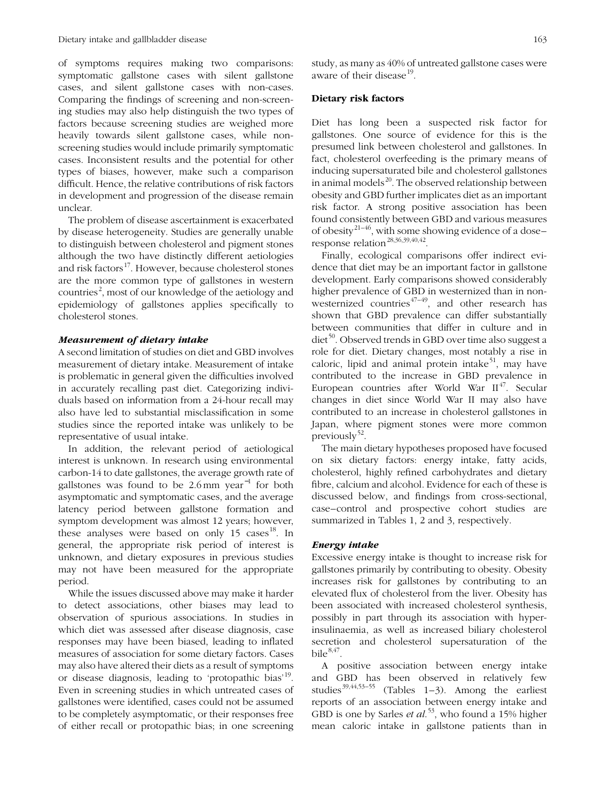of symptoms requires making two comparisons: symptomatic gallstone cases with silent gallstone cases, and silent gallstone cases with non-cases. Comparing the findings of screening and non-screening studies may also help distinguish the two types of factors because screening studies are weighed more heavily towards silent gallstone cases, while nonscreening studies would include primarily symptomatic cases. Inconsistent results and the potential for other types of biases, however, make such a comparison difficult. Hence, the relative contributions of risk factors in development and progression of the disease remain unclear.

The problem of disease ascertainment is exacerbated by disease heterogeneity. Studies are generally unable to distinguish between cholesterol and pigment stones although the two have distinctly different aetiologies and risk factors<sup>17</sup>. However, because cholesterol stones are the more common type of gallstones in western countries $^2$ , most of our knowledge of the aetiology and epidemiology of gallstones applies specifically to cholesterol stones.

## *Measurement of dietary intake*

A second limitation of studies on diet and GBD involves measurement of dietary intake. Measurement of intake is problematic in general given the difficulties involved in accurately recalling past diet. Categorizing individuals based on information from a 24-hour recall may also have led to substantial misclassification in some studies since the reported intake was unlikely to be representative of usual intake.

In addition, the relevant period of aetiological interest is unknown. In research using environmental carbon-14 to date gallstones, the average growth rate of gallstones was found to be  $2.6$  mm year<sup>-1</sup> for both asymptomatic and symptomatic cases, and the average latency period between gallstone formation and symptom development was almost 12 years; however, these analyses were based on only  $15 \text{ cases}^{18}$ . In general, the appropriate risk period of interest is unknown, and dietary exposures in previous studies may not have been measured for the appropriate period.

While the issues discussed above may make it harder to detect associations, other biases may lead to observation of spurious associations. In studies in which diet was assessed after disease diagnosis, case responses may have been biased, leading to inflated measures of association for some dietary factors. Cases may also have altered their diets as a result of symptoms or disease diagnosis, leading to 'protopathic bias'19. Even in screening studies in which untreated cases of gallstones were identified, cases could not be assumed to be completely asymptomatic, or their responses free of either recall or protopathic bias; in one screening

study, as many as 40% of untreated gallstone cases were aware of their disease $19$ .

#### **Dietary risk factors**

Diet has long been a suspected risk factor for gallstones. One source of evidence for this is the presumed link between cholesterol and gallstones. In fact, cholesterol overfeeding is the primary means of inducing supersaturated bile and cholesterol gallstones in animal models $^{20}$ . The observed relationship between obesity and GBD further implicates diet as an important risk factor. A strong positive association has been found consistently between GBD and various measures of obesity<sup>21–46</sup>, with some showing evidence of a dose– response relation<sup>28,36,39,40,42</sup>

Finally, ecological comparisons offer indirect evidence that diet may be an important factor in gallstone development. Early comparisons showed considerably higher prevalence of GBD in westernized than in nonwesternized countries<sup> $47-49$ </sup>, and other research has shown that GBD prevalence can differ substantially between communities that differ in culture and in diet<sup>50</sup>. Observed trends in GBD over time also suggest a role for diet. Dietary changes, most notably a rise in caloric, lipid and animal protein intake<sup>51</sup>, may have contributed to the increase in GBD prevalence in European countries after World War  $II^{47}$ . Secular changes in diet since World War II may also have contributed to an increase in cholesterol gallstones in Japan, where pigment stones were more common previously $52$ .

The main dietary hypotheses proposed have focused on six dietary factors: energy intake, fatty acids, cholesterol, highly refined carbohydrates and dietary fibre, calcium and alcohol. Evidence for each of these is discussed below, and findings from cross-sectional, case–control and prospective cohort studies are summarized in Tables 1, 2 and 3, respectively.

# *Energy intake*

Excessive energy intake is thought to increase risk for gallstones primarily by contributing to obesity. Obesity increases risk for gallstones by contributing to an elevated flux of cholesterol from the liver. Obesity has been associated with increased cholesterol synthesis, possibly in part through its association with hyperinsulinaemia, as well as increased biliary cholesterol secretion and cholesterol supersaturation of the bile $8,47$ .

A positive association between energy intake and GBD has been observed in relatively few studies<sup>39,44,53–55</sup> (Tables 1–3). Among the earliest reports of an association between energy intake and GBD is one by Sarles *et al*. 53, who found a 15% higher mean caloric intake in gallstone patients than in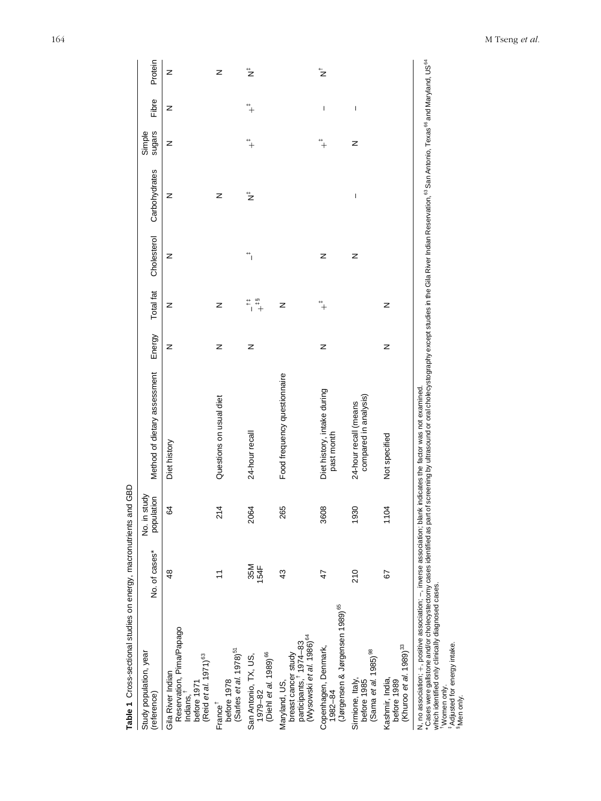| Table 1 Cross-sectional studies on energy, macronutrients and GBD                                                                                                                                                                                                                                                                                                                                                                                                                      |                |                            |                                                |        |                    |             |                                                                                                                                                                                                                                                                                                                                                                                  |                  |                                                                                                                                                                                                                                                                                                                                                                                  |                     |
|----------------------------------------------------------------------------------------------------------------------------------------------------------------------------------------------------------------------------------------------------------------------------------------------------------------------------------------------------------------------------------------------------------------------------------------------------------------------------------------|----------------|----------------------------|------------------------------------------------|--------|--------------------|-------------|----------------------------------------------------------------------------------------------------------------------------------------------------------------------------------------------------------------------------------------------------------------------------------------------------------------------------------------------------------------------------------|------------------|----------------------------------------------------------------------------------------------------------------------------------------------------------------------------------------------------------------------------------------------------------------------------------------------------------------------------------------------------------------------------------|---------------------|
| Study population, year<br>(reference)                                                                                                                                                                                                                                                                                                                                                                                                                                                  | No. of cases*  | No. in study<br>population | Method of dietary assessment                   | Energy | Total fat          | Cholesterol | Carbohydrates                                                                                                                                                                                                                                                                                                                                                                    | sugars<br>Simple | Fibre                                                                                                                                                                                                                                                                                                                                                                            | Protein             |
| Reservation, Pima/Papago<br>(Reid et al. 1971) <sup>63</sup><br>Gila River Indian<br>before 1971<br>Indians, <sup>1</sup>                                                                                                                                                                                                                                                                                                                                                              | $\frac{8}{4}$  | ढ                          | Diet history                                   | z      | Z                  | z           | z                                                                                                                                                                                                                                                                                                                                                                                | z                | z                                                                                                                                                                                                                                                                                                                                                                                | Z                   |
| (Sarles et al. 1978) <sup>51</sup><br>before 1978<br>France <sup>†</sup>                                                                                                                                                                                                                                                                                                                                                                                                               | $\overline{1}$ | $\frac{4}{3}$              | Questions on usual diet                        | z      | z                  |             | z                                                                                                                                                                                                                                                                                                                                                                                |                  |                                                                                                                                                                                                                                                                                                                                                                                  | $\mathbf{z}$        |
| San Antonio, TX, US,<br>1979–82<br>(Diehl <i>et al</i> . 1989) <sup>66</sup>                                                                                                                                                                                                                                                                                                                                                                                                           | 35M<br>154F    | 2064                       | 24-hour recall                                 | z      | $+1$<br>$\ddot{a}$ | $\ddot{ }$  | $\ddot{z}$                                                                                                                                                                                                                                                                                                                                                                       | $+$              | $+$                                                                                                                                                                                                                                                                                                                                                                              | ż                   |
| breast cancer study<br>participants, <sup>†</sup> 1974–83<br>(Wysowski <i>et al</i> . 1986) <sup>64</sup><br>Maryland, US,                                                                                                                                                                                                                                                                                                                                                             | $\frac{3}{4}$  | 265                        | Food frequency questionnaire                   |        | z                  |             |                                                                                                                                                                                                                                                                                                                                                                                  |                  |                                                                                                                                                                                                                                                                                                                                                                                  |                     |
| Jørgensen & Jørgensen 1989) <sup>65</sup><br>Copenhagen, Denmark,<br>1982–84                                                                                                                                                                                                                                                                                                                                                                                                           | 47             | 3608                       | Diet history, intake during<br>past month      | z      | $+$                | z           |                                                                                                                                                                                                                                                                                                                                                                                  | $+$              | $\begin{array}{c} \rule{0pt}{2.5ex} \rule{0pt}{2.5ex} \rule{0pt}{2.5ex} \rule{0pt}{2.5ex} \rule{0pt}{2.5ex} \rule{0pt}{2.5ex} \rule{0pt}{2.5ex} \rule{0pt}{2.5ex} \rule{0pt}{2.5ex} \rule{0pt}{2.5ex} \rule{0pt}{2.5ex} \rule{0pt}{2.5ex} \rule{0pt}{2.5ex} \rule{0pt}{2.5ex} \rule{0pt}{2.5ex} \rule{0pt}{2.5ex} \rule{0pt}{2.5ex} \rule{0pt}{2.5ex} \rule{0pt}{2.5ex} \rule{0$ | $\overleftarrow{z}$ |
| (Sama et al. 1985) <sup>98</sup><br>Sirmione, Italy,<br>before 1985                                                                                                                                                                                                                                                                                                                                                                                                                    | 210            | 1930                       | compared in analysis)<br>24-hour recall (means |        |                    | z           | $\begin{array}{c} \rule{0pt}{2.5ex} \rule{0pt}{2.5ex} \rule{0pt}{2.5ex} \rule{0pt}{2.5ex} \rule{0pt}{2.5ex} \rule{0pt}{2.5ex} \rule{0pt}{2.5ex} \rule{0pt}{2.5ex} \rule{0pt}{2.5ex} \rule{0pt}{2.5ex} \rule{0pt}{2.5ex} \rule{0pt}{2.5ex} \rule{0pt}{2.5ex} \rule{0pt}{2.5ex} \rule{0pt}{2.5ex} \rule{0pt}{2.5ex} \rule{0pt}{2.5ex} \rule{0pt}{2.5ex} \rule{0pt}{2.5ex} \rule{0$ | z                | $\begin{array}{c} \rule{0pt}{2.5ex} \rule{0pt}{2.5ex} \rule{0pt}{2.5ex} \rule{0pt}{2.5ex} \rule{0pt}{2.5ex} \rule{0pt}{2.5ex} \rule{0pt}{2.5ex} \rule{0pt}{2.5ex} \rule{0pt}{2.5ex} \rule{0pt}{2.5ex} \rule{0pt}{2.5ex} \rule{0pt}{2.5ex} \rule{0pt}{2.5ex} \rule{0pt}{2.5ex} \rule{0pt}{2.5ex} \rule{0pt}{2.5ex} \rule{0pt}{2.5ex} \rule{0pt}{2.5ex} \rule{0pt}{2.5ex} \rule{0$ |                     |
| (Khuroo et al. 1989) <sup>33</sup><br>Kashmir, India,<br>before 1989                                                                                                                                                                                                                                                                                                                                                                                                                   | 67             | 1104                       | Not specified                                  | z      | z                  |             |                                                                                                                                                                                                                                                                                                                                                                                  |                  |                                                                                                                                                                                                                                                                                                                                                                                  |                     |
| * Cases were gallstone and/or cholecystectomy cases identified as part of screening by ultrasound or oral cholecystography except studies in the Gila River Indian Reservation, <sup>63</sup> San Antonio, Texas <sup>66</sup> and Maryland, US <sup>64</sup><br>N, no association; +, positive association; -, inverse association; blank<br>which identified only clinically diagnosed cases.<br># Adjusted for energy intake.<br><sup>†</sup> Women only.<br><sup>§</sup> Men only. |                |                            | indicates the factor was not examined.         |        |                    |             |                                                                                                                                                                                                                                                                                                                                                                                  |                  |                                                                                                                                                                                                                                                                                                                                                                                  |                     |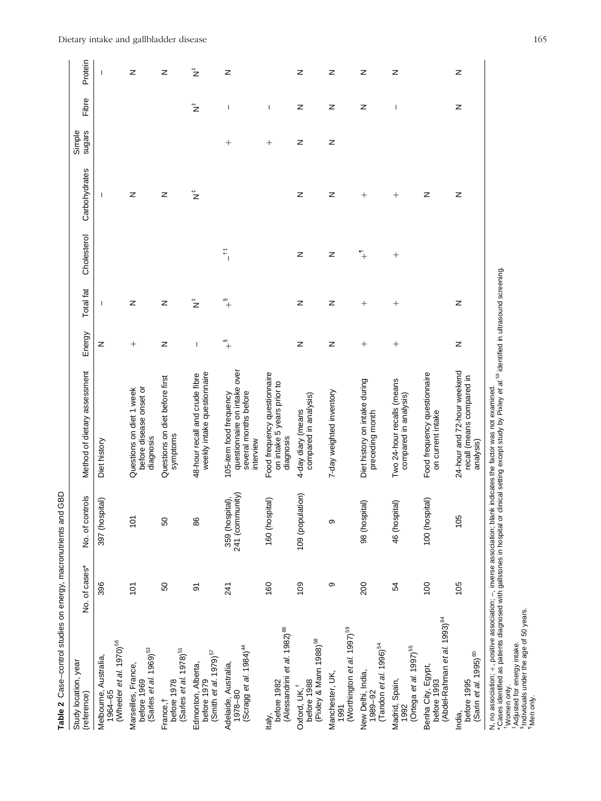| Table 2 Case-control studies on energy, macronutrients and                    |                  | GBD                                  |                                                                                               |                                                                                                                                                                                                                                                                                                                                                                                  |                    |                |               |                  |                          |         |
|-------------------------------------------------------------------------------|------------------|--------------------------------------|-----------------------------------------------------------------------------------------------|----------------------------------------------------------------------------------------------------------------------------------------------------------------------------------------------------------------------------------------------------------------------------------------------------------------------------------------------------------------------------------|--------------------|----------------|---------------|------------------|--------------------------|---------|
| Study location, year<br>(reference)                                           | No. of cases*    | No. of controls                      | Method of dietary assessment                                                                  | Energy                                                                                                                                                                                                                                                                                                                                                                           | Total fat          | Cholesterol    | Carbohydrates | sugars<br>Simple | Fibre                    | Protein |
| (Wheeler et al. 1970) <sup>56</sup><br>Melbourne, Australia,<br>1964–65       | 396              | 397 (hospital)                       | Diet history                                                                                  | z                                                                                                                                                                                                                                                                                                                                                                                | L                  |                |               |                  |                          | I       |
| (Sarles et al. 1969) <sup>53</sup><br>Marseilles, France,<br>before 1969      | $\overline{101}$ | $\overline{101}$                     | before disease onset or<br>Questions on diet 1 week<br>diagnosis                              | $^+$                                                                                                                                                                                                                                                                                                                                                                             | z                  |                | z             |                  |                          | z       |
| (Sarles et al. 1978) <sup>51</sup><br>before 1978<br>France,t                 | SO               | 50                                   | Questions on diet before first<br>symptoms                                                    | z                                                                                                                                                                                                                                                                                                                                                                                | z                  |                | z             |                  |                          | z       |
| (Smith <i>et al.</i> 1979) <sup>57</sup><br>Edmonton, Alberta,<br>before 1979 | ଚ                | 86                                   | weekly intake questionnaire<br>48-hour recall and crude fibre                                 | $\begin{array}{c} \rule{0pt}{2.5ex} \rule{0pt}{2.5ex} \rule{0pt}{2.5ex} \rule{0pt}{2.5ex} \rule{0pt}{2.5ex} \rule{0pt}{2.5ex} \rule{0pt}{2.5ex} \rule{0pt}{2.5ex} \rule{0pt}{2.5ex} \rule{0pt}{2.5ex} \rule{0pt}{2.5ex} \rule{0pt}{2.5ex} \rule{0pt}{2.5ex} \rule{0pt}{2.5ex} \rule{0pt}{2.5ex} \rule{0pt}{2.5ex} \rule{0pt}{2.5ex} \rule{0pt}{2.5ex} \rule{0pt}{2.5ex} \rule{0$ | $\ddot{z}$         |                | ž             |                  | ž                        | Ë,      |
| (Scragg et al. 1984) <sup>44</sup><br>Adelaide, Australia,<br>1978–80         | 241              | 241 (community)<br>359 (hospital),   | questionnaire on intake over<br>several months before<br>105-item food frequency<br>interview | $x^{\circ}$                                                                                                                                                                                                                                                                                                                                                                      | $x^{\circ}$        | $\ddot{a}$     |               | $^{+}$           | $\overline{\phantom{a}}$ | z       |
| (Alessandrini et al. 1982) <sup>86</sup><br>before 1982<br>Italy,             | 160              | 160 (hospital)                       | Food frequency questionnaire<br>on intake 5 years prior to<br>diagnosis                       |                                                                                                                                                                                                                                                                                                                                                                                  |                    |                |               | $^{+}$           | $\overline{\phantom{a}}$ |         |
| (Pixley & Mann 1988) <sup>58</sup><br>before 1988<br>Oxford, UK, <sup>†</sup> | 109              | 109 (population)                     | compared in analysis)<br>4-day diary (means                                                   | z                                                                                                                                                                                                                                                                                                                                                                                | z                  | z              | z             | z                | z                        | z       |
| (Worthington et al. 1997) <sup>59</sup><br>Manchester, UK,<br>1991            | တ                | တ                                    | 7-day weighted inventory                                                                      | z                                                                                                                                                                                                                                                                                                                                                                                | z                  | z              | z             | z                | z                        | z       |
| (Tandon et al. 1996) <sup>54</sup><br>New Delhi, India,<br>1989–92            | 200              | 98 (hospital)                        | Diet history on intake during<br>preceding month                                              | $^+$                                                                                                                                                                                                                                                                                                                                                                             | $^{+}$             | $\overline{a}$ | $^{+}$        |                  | z                        | z       |
| (Ortega et al. 1997) <sup>55</sup><br>Madrid, Spain,<br>1992                  | 54               | $\widehat{\mathbb{E}}$<br>46 (hospit | Two 24-hour recalls (means<br>compared in analysis)                                           | $^{+}$                                                                                                                                                                                                                                                                                                                                                                           | $\hspace{0.1mm} +$ | $^{+}$         | $^{+}$        |                  | I                        | z       |
| (Abdel-Rahman et al. 1993) <sup>94</sup><br>Benha City, Egypt,<br>before 1993 | 100              | 100 (hospital)                       | Food frequency questionnaire<br>on current intake                                             |                                                                                                                                                                                                                                                                                                                                                                                  |                    |                | z             |                  |                          |         |
| (Sarin et al. 1995) <sup>60</sup><br>before 1995<br>India,                    | 105              | 105                                  | 24-hour and 72-hour weekend<br>recall (means compared in<br>analysis)                         | z                                                                                                                                                                                                                                                                                                                                                                                | z                  |                | z             |                  | z                        | z       |

Table 2 Case-control studies on energy, macronutrients and GBD

N, no association;

 $+$ , positive association; –, inverse association; blank indicates the factor was not examined. \* Cases identified as patients diagnosed with gallstones in hospital or clinical setting except study by Pixley *et al.<sup>98</sup>* identified in ultrasound screening.<br>† Women only.

Adjusted for energy intake.

Individuals under the age of 50 years.

‡§¶

Men only.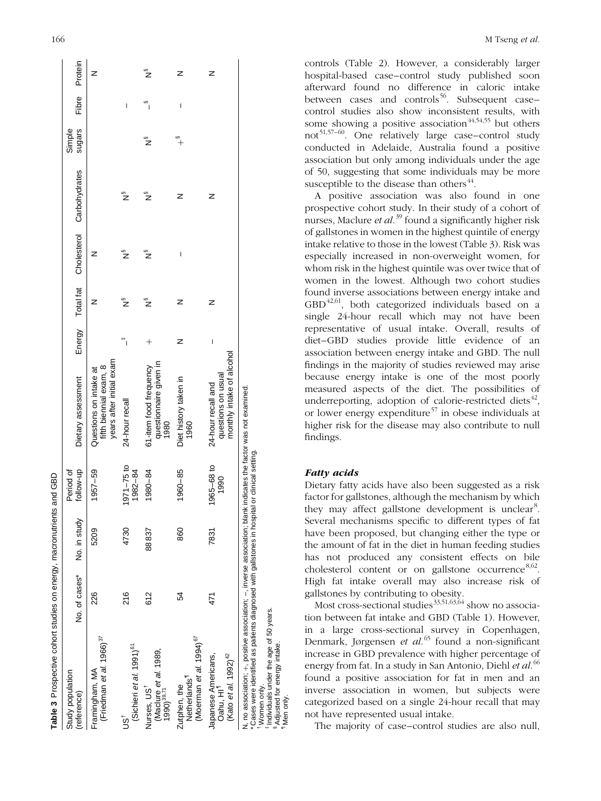| Table 3 Prospective cohort studies on energy, macronutrients                                                                                                                                                     |                            |       | and GBD                   |                                                                              |                |                     |                      |                                            |                              |                |                     |
|------------------------------------------------------------------------------------------------------------------------------------------------------------------------------------------------------------------|----------------------------|-------|---------------------------|------------------------------------------------------------------------------|----------------|---------------------|----------------------|--------------------------------------------|------------------------------|----------------|---------------------|
| Study population<br>(reference)                                                                                                                                                                                  | No. of cases* No. in study |       | follow-up<br>Period of    | Dietary assessment                                                           |                |                     |                      | Energy Total fat Cholesterol Carbohydrates | sugars<br>Simple             |                | Fibre Protein       |
| (Friedman et al. 1966) <sup>37</sup><br>Framingham, MA                                                                                                                                                           | 226                        | 5209  | $1957 - 59$               | years after initial exam<br>fifth biennial exam, 8<br>Questions on intake at |                |                     | z                    |                                            |                              |                | z                   |
| (Sichieri et al. 1991) <sup>61</sup><br>isu                                                                                                                                                                      | 216                        | 4730  | $1971 - 75$ to<br>1982-84 | 24-hour recall                                                               | ۳ <sub>۱</sub> | ာ<br>၁              | Ž                    | ž                                          |                              | I              |                     |
| (Maclure et al. 1989)<br>Nurses, US <sup>t</sup><br>1990) $39,71$                                                                                                                                                | 612                        | 88837 | 1980-84                   | questionnaire given in<br>61-item food frequency<br>1980                     |                | $\tilde{\tilde{z}}$ | $\tilde{\mathbf{z}}$ | $\tilde{\tilde{z}}$                        | $\tilde{\tilde{\mathbf{z}}}$ | <sup>တ</sup> ၊ | $\tilde{\tilde{z}}$ |
| (Moerman et al. 1994) <sup>67</sup><br>Netherlands <sup>1</sup><br>Zutphen, the                                                                                                                                  | 54                         | 860   | 1960-85                   | Diet history taken in<br>1960                                                | Z              | z                   | I                    | z                                          | $^\circ\!+$                  | I              |                     |
| (Kato et al. 1992) <sup>42</sup><br>Japanese Americans,<br>Oahu, HI <sup>1</sup>                                                                                                                                 | 471                        | 7831  | 1965-68 to<br>1990        | monthly intake of alcohol<br>questions on usual<br>24-hour recall and        | I              | z                   |                      | z                                          |                              |                |                     |
| N, no association; +, positive association; -, inverse association; blank indicates the factor was not examined.<br>Cases were identified as patients diagnosed with gallstones in hospital or clinical setting. |                            |       |                           |                                                                              |                |                     |                      |                                            |                              |                |                     |

controls (Table 2). However, a considerably larger hospital-based case–control study published soon afterward found no difference in caloric intake between cases and controls<sup>56</sup>. Subsequent casecontrol studies also show inconsistent results, with some showing a positive association<sup> $44,54,55$ </sup> but others not<sup>51,57–60</sup>. One relatively large case–control study conducted in Adelaide, Australia found a positive association but only among individuals under the age of 50, suggesting that some individuals may be more susceptible to the disease than others $^{44}$ .

A positive association was also found in one prospective cohort study. In their study of a cohort of nurses, Maclure *et al*. <sup>39</sup> found a significantly higher risk of gallstones in women in the highest quintile of energy intake relative to those in the lowest (Table 3). Risk was especially increased in non-overweight women, for whom risk in the highest quintile was over twice that of women in the lowest. Although two cohort studies found inverse associations between energy intake and  $GBD^{42,61}$ , both categorized individuals based on a single 24-hour recall which may not have been representative of usual intake. Overall, results of diet–GBD studies provide little evidence of an association between energy intake and GBD. The null findings in the majority of studies reviewed may arise because energy intake is one of the most poorly measured aspects of the diet. The possibilities of underreporting, adoption of calorie-restricted diets<sup> $42$ </sup>, or lower energy expenditure<sup>57</sup> in obese individuals at higher risk for the disease may also contribute to null findings.

# *Fatty acids*

 $^+$ 

§

¶Men only.

only.

Adjusted for energy intake.

Women only.

Women only.

Individuals under the age of 50 years.

Individuals under the age of 50 years.

Dietary fatty acids have also been suggested as a risk factor for gallstones, although the mechanism by which they may affect gallstone development is unclear<sup>8</sup>. Several mechanisms specific to different types of fat have been proposed, but changing either the type or the amount of fat in the diet in human feeding studies has not produced any consistent effects on bile cholesterol content or on gallstone occurrence  $8,62$ . High fat intake overall may also increase risk of gallstones by contributing to obesity.

Most cross-sectional studies $33,51,63,64$  show no association between fat intake and GBD (Table 1). However, in a large cross-sectional survey in Copenhagen, Denmark, Jørgensen *et al*. <sup>65</sup> found a non-significant increase in GBD prevalence with higher percentage of energy from fat. In a study in San Antonio, Diehl *et al*. 66 found a positive association for fat in men and an inverse association in women, but subjects were categorized based on a single 24-hour recall that may not have represented usual intake.

The majority of case–control studies are also null,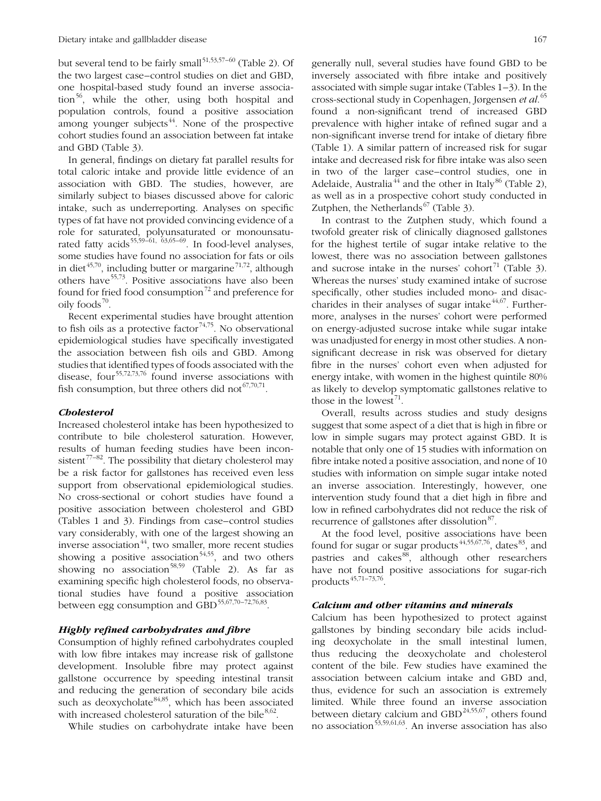but several tend to be fairly small $51,53,57-60$  (Table 2). Of the two largest case–control studies on diet and GBD, one hospital-based study found an inverse association<sup>56</sup>, while the other, using both hospital and population controls, found a positive association among younger subjects $44$ . None of the prospective cohort studies found an association between fat intake and GBD (Table 3).

In general, findings on dietary fat parallel results for total caloric intake and provide little evidence of an association with GBD. The studies, however, are similarly subject to biases discussed above for caloric intake, such as underreporting. Analyses on specific types of fat have not provided convincing evidence of a role for saturated, polyunsaturated or monounsaturated fatty acids<sup>55,59–61, 63,65–69</sup>. In food-level analyses, some studies have found no association for fats or oils in diet<sup>45,70</sup>, including butter or margarine<sup>71,72</sup>, although others have  $55,73$ . Positive associations have also been found for fried food consumption<sup>72</sup> and preference for oily foods 70.

Recent experimental studies have brought attention to fish oils as a protective factor<sup>74,75</sup>. No observational epidemiological studies have specifically investigated the association between fish oils and GBD. Among studies that identified types of foods associated with the disease, four55,72,73,76 found inverse associations with fish consumption, but three others did not  $67,70,71$ .

# *Cholesterol*

Increased cholesterol intake has been hypothesized to contribute to bile cholesterol saturation. However, results of human feeding studies have been inconsistent<sup>77-82</sup>. The possibility that dietary cholesterol may be a risk factor for gallstones has received even less support from observational epidemiological studies. No cross-sectional or cohort studies have found a positive association between cholesterol and GBD (Tables 1 and 3). Findings from case–control studies vary considerably, with one of the largest showing an inverse association<sup>44</sup>, two smaller, more recent studies showing a positive association<sup>54,55</sup>, and two others showing no association<sup>58,59</sup> (Table 2). As far as examining specific high cholesterol foods, no observational studies have found a positive association between egg consumption and GBD<sup>55,67,70-72,76,83</sup>.

# *Highly refined carbohydrates and fibre*

Consumption of highly refined carbohydrates coupled with low fibre intakes may increase risk of gallstone development. Insoluble fibre may protect against gallstone occurrence by speeding intestinal transit and reducing the generation of secondary bile acids such as deoxycholate  $84,85$ , which has been associated with increased cholesterol saturation of the bile<sup>8,62</sup>.

While studies on carbohydrate intake have been

generally null, several studies have found GBD to be inversely associated with fibre intake and positively associated with simple sugar intake (Tables 1–3). In the cross-sectional study in Copenhagen, Jørgensen *et al*. 65 found a non-significant trend of increased GBD prevalence with higher intake of refined sugar and a non-significant inverse trend for intake of dietary fibre (Table 1). A similar pattern of increased risk for sugar intake and decreased risk for fibre intake was also seen in two of the larger case–control studies, one in Adelaide, Australia<sup> $44$ </sup> and the other in Italy<sup>86</sup> (Table 2). as well as in a prospective cohort study conducted in Zutphen, the Netherlands $67$  (Table 3).

In contrast to the Zutphen study, which found a twofold greater risk of clinically diagnosed gallstones for the highest tertile of sugar intake relative to the lowest, there was no association between gallstones and sucrose intake in the nurses' cohort<sup>71</sup> (Table 3). Whereas the nurses' study examined intake of sucrose specifically, other studies included mono- and disaccharides in their analyses of sugar intake $44,67$ . Furthermore, analyses in the nurses' cohort were performed on energy-adjusted sucrose intake while sugar intake was unadjusted for energy in most other studies. A nonsignificant decrease in risk was observed for dietary fibre in the nurses' cohort even when adjusted for energy intake, with women in the highest quintile 80% as likely to develop symptomatic gallstones relative to those in the lowest<sup>71</sup>.

Overall, results across studies and study designs suggest that some aspect of a diet that is high in fibre or low in simple sugars may protect against GBD. It is notable that only one of 15 studies with information on fibre intake noted a positive association, and none of 10 studies with information on simple sugar intake noted an inverse association. Interestingly, however, one intervention study found that a diet high in fibre and low in refined carbohydrates did not reduce the risk of recurrence of gallstones after dissolution<sup>87</sup>.

At the food level, positive associations have been found for sugar or sugar products  $44,55,67,76$ , dates  $83$ , and pastries and cakes<sup>88</sup>, although other researchers have not found positive associations for sugar-rich products 45,71–73,76.

#### *Calcium and other vitamins and minerals*

Calcium has been hypothesized to protect against gallstones by binding secondary bile acids including deoxycholate in the small intestinal lumen, thus reducing the deoxycholate and cholesterol content of the bile. Few studies have examined the association between calcium intake and GBD and, thus, evidence for such an association is extremely limited. While three found an inverse association between dietary calcium and  $GBD^{24,55,67}$ , others found no association<sup>53,59,61,63</sup>. An inverse association has also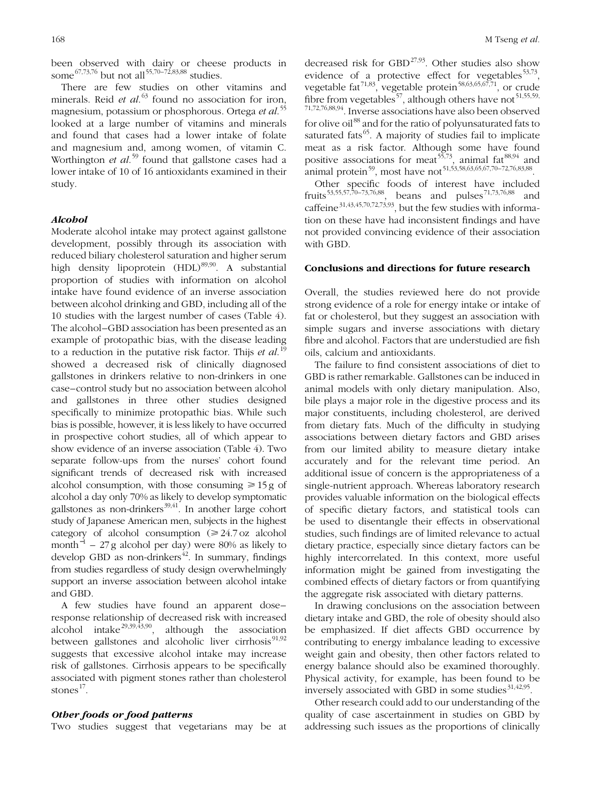been observed with dairy or cheese products in some<sup>67,73,76</sup> but not all<sup>55,70–72,83,88</sup> studies.

There are few studies on other vitamins and minerals. Reid *et al*. <sup>63</sup> found no association for iron, magnesium, potassium or phosphorous. Ortega *et al*. 55 looked at a large number of vitamins and minerals and found that cases had a lower intake of folate and magnesium and, among women, of vitamin C. Worthington *et al*. <sup>59</sup> found that gallstone cases had a lower intake of 10 of 16 antioxidants examined in their study.

#### *Alcohol*

Moderate alcohol intake may protect against gallstone development, possibly through its association with reduced biliary cholesterol saturation and higher serum high density lipoprotein (HDL)<sup>89,90</sup>. A substantial proportion of studies with information on alcohol intake have found evidence of an inverse association between alcohol drinking and GBD, including all of the 10 studies with the largest number of cases (Table 4). The alcohol–GBD association has been presented as an example of protopathic bias, with the disease leading to a reduction in the putative risk factor. Thijs *et al*. 19 showed a decreased risk of clinically diagnosed gallstones in drinkers relative to non-drinkers in one case–control study but no association between alcohol and gallstones in three other studies designed specifically to minimize protopathic bias. While such bias is possible, however, it is less likely to have occurred in prospective cohort studies, all of which appear to show evidence of an inverse association (Table 4). Two separate follow-ups from the nurses' cohort found significant trends of decreased risk with increased alcohol consumption, with those consuming  $\geq 15g$  of alcohol a day only 70% as likely to develop symptomatic gallstones as non-drinkers<sup>39,41</sup>. In another large cohort study of Japanese American men, subjects in the highest category of alcohol consumption  $(\geq 24.7 \text{ oz }$  alcohol month<sup>-1</sup> – 27g alcohol per day) were 80% as likely to develop GBD as non-drinkers $^{42}$ . In summary, findings from studies regardless of study design overwhelmingly support an inverse association between alcohol intake and GBD.

A few studies have found an apparent dose– response relationship of decreased risk with increased alcohol intake<sup>29,39,43,90</sup>, although the association between gallstones and alcoholic liver cirrhosis<sup>91,92</sup> suggests that excessive alcohol intake may increase risk of gallstones. Cirrhosis appears to be specifically associated with pigment stones rather than cholesterol stones $17$ .

# *Other foods or food patterns*

Two studies suggest that vegetarians may be at

decreased risk for  $GBD^{27,93}$ . Other studies also show evidence of a protective effect for vegetables<sup>53,73</sup>, vegetable fat<sup>71,83</sup>, vegetable protein<sup>58,63,65,67,71</sup>, or crude fibre from vegetables<sup>57</sup>, although others have not<sup>51,55,59,</sup> 71,72,76,88,94. Inverse associations have also been observed for olive oil<sup>88</sup> and for the ratio of polyunsaturated fats to saturated fats<sup>65</sup>. A majority of studies fail to implicate meat as a risk factor. Although some have found positive associations for meat<sup>55,73</sup>, animal fat<sup>88,94</sup> and animal protein $^{59}$ , most have not $^{51,53,58,63,65,67,70-72,76,83,88}.$ 

Other specific foods of interest have included fruits  $53,55,57,70-73,76,88$ , beans and pulses<sup>71,73,76,88</sup> and  $ext{caffeine}^{31,43,45,70,72,73,93}$ , but the few studies with information on these have had inconsistent findings and have not provided convincing evidence of their association with GBD.

# **Conclusions and directions for future research**

Overall, the studies reviewed here do not provide strong evidence of a role for energy intake or intake of fat or cholesterol, but they suggest an association with simple sugars and inverse associations with dietary fibre and alcohol. Factors that are understudied are fish oils, calcium and antioxidants.

The failure to find consistent associations of diet to GBD is rather remarkable. Gallstones can be induced in animal models with only dietary manipulation. Also, bile plays a major role in the digestive process and its major constituents, including cholesterol, are derived from dietary fats. Much of the difficulty in studying associations between dietary factors and GBD arises from our limited ability to measure dietary intake accurately and for the relevant time period. An additional issue of concern is the appropriateness of a single-nutrient approach. Whereas laboratory research provides valuable information on the biological effects of specific dietary factors, and statistical tools can be used to disentangle their effects in observational studies, such findings are of limited relevance to actual dietary practice, especially since dietary factors can be highly intercorrelated. In this context, more useful information might be gained from investigating the combined effects of dietary factors or from quantifying the aggregate risk associated with dietary patterns.

In drawing conclusions on the association between dietary intake and GBD, the role of obesity should also be emphasized. If diet affects GBD occurrence by contributing to energy imbalance leading to excessive weight gain and obesity, then other factors related to energy balance should also be examined thoroughly. Physical activity, for example, has been found to be inversely associated with GBD in some studies $31,42,95$ .

Other research could add to our understanding of the quality of case ascertainment in studies on GBD by addressing such issues as the proportions of clinically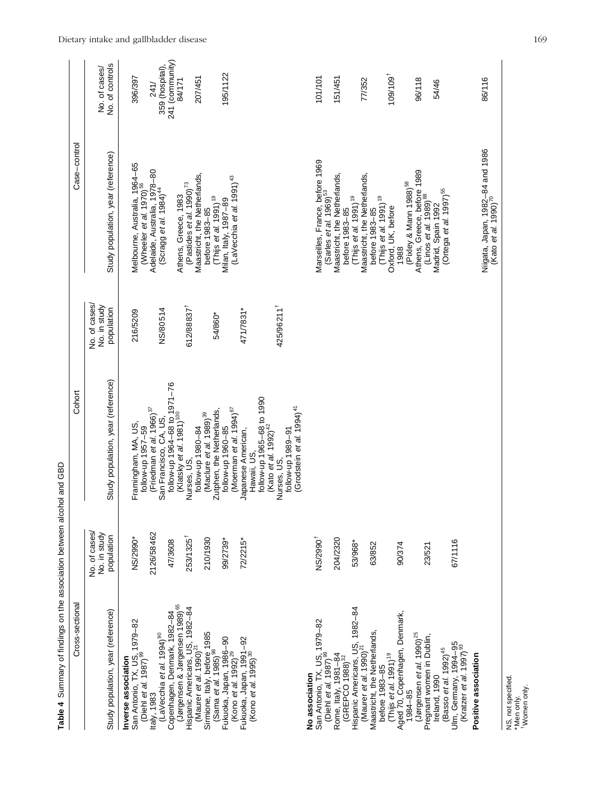| Table 4 Summary of findings on the association between alcohol and GBD<br>Cross-sectional                                                                                                                                                                                                                                                                                                                                                                                                                                                       |                                                                                                | Cohort                                                                                                                                                                                                                                                                                                                                                                                                                                                                                                                                                   |                                                                                                  | Case-control                                                                                                                                                                                                                                                                                                                                                                       |                                                                                        |
|-------------------------------------------------------------------------------------------------------------------------------------------------------------------------------------------------------------------------------------------------------------------------------------------------------------------------------------------------------------------------------------------------------------------------------------------------------------------------------------------------------------------------------------------------|------------------------------------------------------------------------------------------------|----------------------------------------------------------------------------------------------------------------------------------------------------------------------------------------------------------------------------------------------------------------------------------------------------------------------------------------------------------------------------------------------------------------------------------------------------------------------------------------------------------------------------------------------------------|--------------------------------------------------------------------------------------------------|------------------------------------------------------------------------------------------------------------------------------------------------------------------------------------------------------------------------------------------------------------------------------------------------------------------------------------------------------------------------------------|----------------------------------------------------------------------------------------|
| Study population, year (reference)                                                                                                                                                                                                                                                                                                                                                                                                                                                                                                              | No. of cases/<br>No. in study<br>population                                                    | Study population, year (reference)                                                                                                                                                                                                                                                                                                                                                                                                                                                                                                                       | No. of cases/<br>No. in study<br>population                                                      | Study population, year (reference)                                                                                                                                                                                                                                                                                                                                                 | No. of controls<br>No. of cases/                                                       |
| Jørgensen & Jørgensen 1989) <sup>65</sup><br>Hispanic Americans, US, 1982-64<br>(Maurer <i>et al.</i> 1990) <sup>21</sup><br>Copenhagen, Denmark, 1982-84<br>1979-82<br>Sirmione, Italy, before 1985<br>(Sama <i>et al</i> . 1985) <sup>98</sup><br>(LaVecchia et al. 1994) <sup>90</sup><br>Fukuoka, Japan, 1986–90<br>(Kono <i>et al.</i> 1992) <sup>29</sup><br>Fukuoka, Japan, 1991–92<br>(Kono <i>et al.</i> 1995) <sup>30</sup><br>San Antonio, TX, US,<br>(Diehl <i>et al.</i> 1987) <sup>99</sup><br>Inverse association<br>Italy, 1983 | 2126/58462<br>253/1325 <sup>†</sup><br>NS/2990*<br>210/1930<br>99/2739*<br>72/2215*<br>47/3608 | follow-up 1964-68 to 1971-76<br>follow-up 1965-68 to 1990<br>(Kato <i>et al</i> . 1992) <sup>42</sup><br>(Grodstein et al. 1994) <sup>41</sup><br>(Friedman <i>et al.</i> 1966) <sup>37</sup><br>San Francisco, CA, US,<br>(Moerman et al. 1994) <sup>67</sup><br>Zutphen, the Netherlands,<br>(Klatsky et al. 1981) <sup>100</sup><br>(Maclure et al. 1989) <sup>39</sup><br>Framingham, MA, US,<br>follow-up 1960-85<br>follow-up 1957-59<br>follow-up 1980-84<br>follow-up 1989-91<br>Japanese American,<br>Hawaii, US,<br>Nurses, US,<br>Nurses, US, | 425/96211 <sup>†</sup><br>612/88837 <sup>+</sup><br>NS/80514<br>471/7831*<br>216/5209<br>54/860* | Melbourne, Australia, 1964–65<br>(Wheeler <i>et al</i> . 1970) <sup>56</sup><br>Adelaide, Australia, 1978–80<br>(Scragg <i>et al</i> . 1984) <sup>44</sup><br>Maastricht, the Netherlands,<br>(LaVecchia et al. 1991) <sup>43</sup><br>(Pastides et al. 1990) <sup>73</sup><br>Athens, Greece, 1983<br>(This et al. 1991) <sup>19</sup><br>Milan, Italy, 1987-89<br>before 1983-85 | 241 (community)<br>359 (hospital),<br>195/1122<br>396/397<br>207/451<br>84/171<br>241/ |
| 1979-82<br>San Antonio, TX, US,<br>(Diehl <i>et al.</i> 1987) <sup>99</sup><br>No association                                                                                                                                                                                                                                                                                                                                                                                                                                                   | NS/2990 <sup>+</sup>                                                                           |                                                                                                                                                                                                                                                                                                                                                                                                                                                                                                                                                          |                                                                                                  | Marseilles, France, before 1969<br>(Sarles <i>et al.</i> 1969) <sup>53</sup>                                                                                                                                                                                                                                                                                                       | 101/101                                                                                |
| Rome, Italy, 1981–84<br>(GREPCO 1988) <sup>32</sup>                                                                                                                                                                                                                                                                                                                                                                                                                                                                                             | 204/2320<br>53/968*                                                                            |                                                                                                                                                                                                                                                                                                                                                                                                                                                                                                                                                          |                                                                                                  | Maastricht, the Netherlands,<br>(Thijs et al. $1991$ ) <sup>19</sup><br>before 1983-85                                                                                                                                                                                                                                                                                             | 151/451                                                                                |
| Hispanic Americans, US, 1982–84<br>(Maurer <i>et al.</i> 1990) <sup>21</sup><br>Maastricht, the Netherlands,<br>before 1983–85                                                                                                                                                                                                                                                                                                                                                                                                                  | 63/852                                                                                         |                                                                                                                                                                                                                                                                                                                                                                                                                                                                                                                                                          |                                                                                                  | Maastricht, the Netherlands,<br>before 1983-85                                                                                                                                                                                                                                                                                                                                     | 77/352                                                                                 |
| (Thijs <i>et al.</i> 1991) <sup>19</sup><br>Aged 70, Copenhagen, Denmark,                                                                                                                                                                                                                                                                                                                                                                                                                                                                       | 90/374                                                                                         |                                                                                                                                                                                                                                                                                                                                                                                                                                                                                                                                                          |                                                                                                  | (Thijs et al. $1991$ ) <sup>19</sup><br>Oxford, UK, before<br>1988                                                                                                                                                                                                                                                                                                                 | $109/109^{\dagger}$                                                                    |
| (Jørgensen et al. 1990) <sup>25</sup><br>Pregnant women in Dublin,<br>1984-85                                                                                                                                                                                                                                                                                                                                                                                                                                                                   | 23/521                                                                                         |                                                                                                                                                                                                                                                                                                                                                                                                                                                                                                                                                          |                                                                                                  | Athens, Greece, before 1989<br>(Linos <i>et al</i> . 1989) <sup>88</sup><br>$($ Pixley & Mann 1988) $^{58}$                                                                                                                                                                                                                                                                        | 96/118                                                                                 |
| Ulm, Germany, 1994-95<br>(Kratzer et al. 1997) <sup>93</sup><br>(Basso et al. 1992) <sup>45</sup><br>Ireland, 1990                                                                                                                                                                                                                                                                                                                                                                                                                              | 67/1116                                                                                        |                                                                                                                                                                                                                                                                                                                                                                                                                                                                                                                                                          |                                                                                                  | (Ortega et al. 1997) <sup>55</sup><br>Madrid, Spain 1992                                                                                                                                                                                                                                                                                                                           | 54/46                                                                                  |
| Positive association                                                                                                                                                                                                                                                                                                                                                                                                                                                                                                                            |                                                                                                |                                                                                                                                                                                                                                                                                                                                                                                                                                                                                                                                                          |                                                                                                  | Niigata, Japan, 1982–84 and 1986<br>(Kato <i>et al.</i> 1990) <sup>70</sup>                                                                                                                                                                                                                                                                                                        | 86/116                                                                                 |
| NS, not specified.<br>* Men only.                                                                                                                                                                                                                                                                                                                                                                                                                                                                                                               |                                                                                                |                                                                                                                                                                                                                                                                                                                                                                                                                                                                                                                                                          |                                                                                                  |                                                                                                                                                                                                                                                                                                                                                                                    |                                                                                        |

NS, not specified.<br>\* Men only.<br><sup>†</sup> Women only. Women only.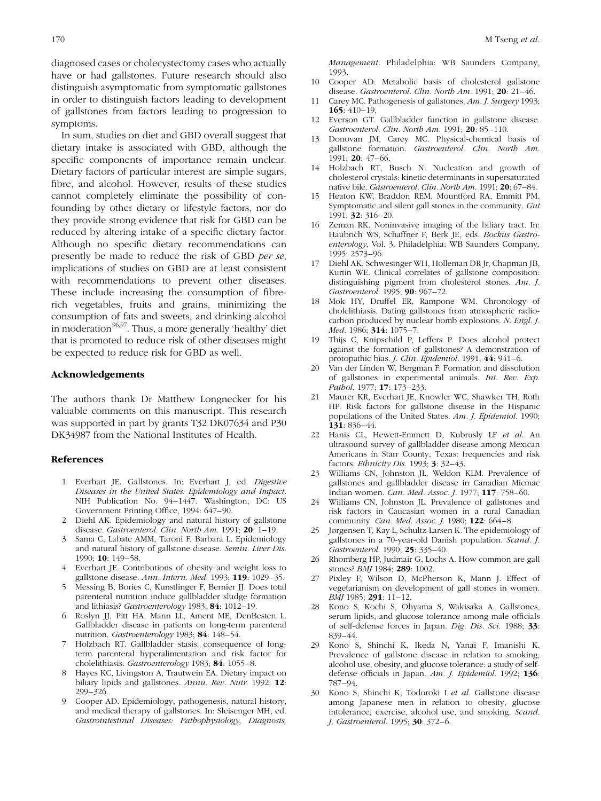diagnosed cases or cholecystectomy cases who actually have or had gallstones. Future research should also distinguish asymptomatic from symptomatic gallstones in order to distinguish factors leading to development of gallstones from factors leading to progression to symptoms.

In sum, studies on diet and GBD overall suggest that dietary intake is associated with GBD, although the specific components of importance remain unclear. Dietary factors of particular interest are simple sugars, fibre, and alcohol. However, results of these studies cannot completely eliminate the possibility of confounding by other dietary or lifestyle factors, nor do they provide strong evidence that risk for GBD can be reduced by altering intake of a specific dietary factor. Although no specific dietary recommendations can presently be made to reduce the risk of GBD *per se*, implications of studies on GBD are at least consistent with recommendations to prevent other diseases. These include increasing the consumption of fibrerich vegetables, fruits and grains, minimizing the consumption of fats and sweets, and drinking alcohol in moderation<sup>96,97</sup>. Thus, a more generally 'healthy' diet that is promoted to reduce risk of other diseases might be expected to reduce risk for GBD as well.

## **Acknowledgements**

The authors thank Dr Matthew Longnecker for his valuable comments on this manuscript. This research was supported in part by grants T32 DK07634 and P30 DK34987 from the National Institutes of Health.

## **References**

- 1 Everhart JE. Gallstones. In: Everhart J, ed. *Digestive Diseases in the United States: Epidemiology and Impact*. NIH Publication No. 94–1447. Washington, DC: US Government Printing Office, 1994: 647–90.
- 2 Diehl AK. Epidemiology and natural history of gallstone disease. *Gastroenterol. Clin. North Am.* 1991; **20**: 1–19.
- 3 Sama C, Labate AMM, Taroni F, Barbara L. Epidemiology and natural history of gallstone disease. *Semin. Liver Dis.* 1990; **10**: 149–58.
- 4 Everhart JE. Contributions of obesity and weight loss to gallstone disease. *Ann. Intern. Med.* 1993; **119**: 1029–35.
- 5 Messing B, Bories C, Kunstlinger F, Bernier JJ. Does total parenteral nutrition induce gallbladder sludge formation and lithiasis? *Gastroenterology* 1983; **84**: 1012–19.
- 6 Roslyn JJ, Pitt HA, Mann LL, Ament ME, DenBesten L. Gallbladder disease in patients on long-term parenteral nutrition. *Gastroenterology* 1983; **84**: 148–54.
- 7 Holzbach RT. Gallbladder stasis: consequence of longterm parenteral hyperalimentation and risk factor for cholelithiasis. *Gastroenterology* 1983; **84**: 1055–8.
- 8 Hayes KC, Livingston A, Trautwein EA. Dietary impact on biliary lipids and gallstones. *Annu. Rev. Nutr.* 1992; **12**: 299–326.
- 9 Cooper AD. Epidemiology, pathogenesis, natural history, and medical therapy of gallstones. In: Sleisenger MH, ed. *Gastrointestinal Diseases: Pathophysiology, Diagnosis,*

*Management*. Philadelphia: WB Saunders Company, 1993.

- 10 Cooper AD. Metabolic basis of cholesterol gallstone disease. *Gastroenterol. Clin. North Am.* 1991; **20**: 21–46.
- 11 Carey MC. Pathogenesis of gallstones. *Am. J. Surgery* 1993; **165**: 410–19.
- 12 Everson GT. Gallbladder function in gallstone disease. *Gastroenterol. Clin. North Am.* 1991; **20**: 85–110.
- 13 Donovan JM, Carey MC. Physical-chemical basis of gallstone formation. *Gastroenterol. Clin. North Am.* 1991; **20**: 47–66.
- 14 Holzbach RT, Busch N. Nucleation and growth of cholesterol crystals: kinetic determinants in supersaturated native bile. *Gastroenterol. Clin. North Am.* 1991; **20**: 67–84.
- 15 Heaton KW, Braddon REM, Mountford RA, Emmitt PM. Symptomatic and silent gall stones in the community. *Gut* 1991; **32**: 316–20.
- 16 Zeman RK. Noninvasive imaging of the biliary tract. In: Haubrich WS, Schaffner F, Berk JE, eds. *Bockus Gastroenterology*, Vol. 3. Philadelphia: WB Saunders Company, 1995: 2573–96.
- 17 Diehl AK, Schwesinger WH, Holleman DR Jr, Chapman JB, Kurtin WE. Clinical correlates of gallstone composition: distinguishing pigment from cholesterol stones. *Am. J. Gastroenterol.* 1995; **90**: 967–72.
- 18 Mok HY, Druffel ER, Rampone WM. Chronology of cholelithiasis. Dating gallstones from atmospheric radiocarbon produced by nuclear bomb explosions. *N. Engl. J. Med.* 1986; **314**: 1075–7.
- 19 Thijs C, Knipschild P, Leffers P. Does alcohol protect against the formation of gallstones? A demonstration of protopathic bias. *J. Clin. Epidemiol.* 1991; **44**: 941–6.
- 20 Van der Linden W, Bergman F. Formation and dissolution of gallstones in experimental animals. *Int. Rev. Exp. Pathol.* 1977; **17**: 173–233.
- 21 Maurer KR, Everhart JE, Knowler WC, Shawker TH, Roth HP. Risk factors for gallstone disease in the Hispanic populations of the United States. *Am. J. Epidemiol.* 1990; **131**: 836–44.
- 22 Hanis CL, Hewett-Emmett D, Kubrusly LF *et al*. An ultrasound survey of gallbladder disease among Mexican Americans in Starr County, Texas: frequencies and risk factors. *Ethnicity Dis.* 1993; **3**: 32–43.
- 23 Williams CN, Johnston JL, Weldon KLM. Prevalence of gallstones and gallbladder disease in Canadian Micmac Indian women. *Can. Med. Assoc. J.* 1977; **117**: 758–60.
- 24 Williams CN, Johnston JL. Prevalence of gallstones and risk factors in Caucasian women in a rural Canadian community. *Can. Med. Assoc. J.* 1980; **122**: 664–8.
- 25 Jørgensen T, Kay L, Schultz-Larsen K. The epidemiology of gallstones in a 70-year-old Danish population. *Scand. J. Gastroenterol.* 1990; **25**: 335–40.
- 26 Rhomberg HP, Judmair G, Lochs A. How common are gall stones? *BMJ* 1984; **289**: 1002.
- 27 Pixley F, Wilson D, McPherson K, Mann J. Effect of vegetarianism on development of gall stones in women. *BMJ* 1985; **291**: 11–12.
- 28 Kono S, Kochi S, Ohyama S, Wakisaka A. Gallstones, serum lipids, and glucose tolerance among male officials of self-defense forces in Japan. *Dig. Dis. Sci.* 1988; **33**: 839–44.
- 29 Kono S, Shinchi K, Ikeda N, Yanai F, Imanishi K. Prevalence of gallstone disease in relation to smoking, alcohol use, obesity, and glucose tolerance: a study of selfdefense officials in Japan. *Am. J. Epidemiol.* 1992; **136**: 787–94.
- 30 Kono S, Shinchi K, Todoroki I *et al*. Gallstone disease among Japanese men in relation to obesity, glucose intolerance, exercise, alcohol use, and smoking. *Scand. J. Gastroenterol.* 1995; **30**: 372–6.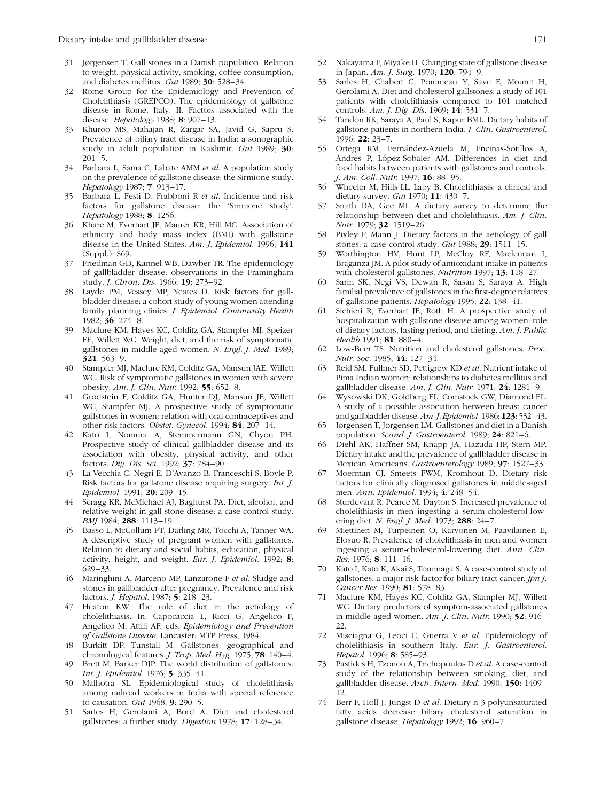- 31 Jørgensen T. Gall stones in a Danish population. Relation to weight, physical activity, smoking, coffee consumption, and diabetes mellitus. *Gut* 1989; **30**: 528–34.
- 32 Rome Group for the Epidemiology and Prevention of Cholelithiasis (GREPCO). The epidemiology of gallstone disease in Rome, Italy. II. Factors associated with the disease. *Hepatology* 1988; **8**: 907–13.
- 33 Khuroo MS, Mahajan R, Zargar SA, Javid G, Sapru S. Prevalence of biliary tract disease in India: a sonographic study in adult population in Kashmir. *Gut* 1989; **30**:  $201 - 5$
- 34 Barbara L, Sama C, Labate AMM *et al*. A population study on the prevalence of gallstone disease: the Sirmione study. *Hepatology* 1987; **7**: 913–17.
- 35 Barbara L, Festi D, Frabboni R *et al*. Incidence and risk factors for gallstone disease: the 'Sirmione study'. *Hepatology* 1988; **8**: 1256.
- 36 Khare M, Everhart JE, Maurer KR, Hill MC. Association of ethnicity and body mass index (BMI) with gallstone disease in the United States. *Am. J. Epidemiol.* 1996; **141** (Suppl.): S69.
- 37 Friedman GD, Kannel WB, Dawber TR. The epidemiology of gallbladder disease: observations in the Framingham study. *J. Chron. Dis.* 1966; **19**: 273–92.
- 38 Layde PM, Vessey MP, Yeates D. Risk factors for gallbladder disease: a cohort study of young women attending family planning clinics. *J. Epidemiol. Community Health* 1982; **36**: 274–8.
- 39 Maclure KM, Hayes KC, Colditz GA, Stampfer MJ, Speizer FE, Willett WC. Weight, diet, and the risk of symptomatic gallstones in middle-aged women. *N. Engl. J. Med.* 1989; **321**: 563–9.
- 40 Stampfer MJ, Maclure KM, Colditz GA, Mansun JAE, Willett WC. Risk of symptomatic gallstones in women with severe obesity. *Am. J. Clin. Nutr.* 1992; **55**: 652–8.
- 41 Grodstein F, Colditz GA, Hunter DJ, Mansun JE, Willett WC, Stampfer MJ. A prospective study of symptomatic gallstones in women: relation with oral contraceptives and other risk factors. *Obstet. Gynecol.* 1994; **84**: 207–14.
- 42 Kato I, Nomura A, Stemmermann GN, Chyou PH. Prospective study of clinical gallbladder disease and its association with obesity, physical activity, and other factors. *Dig. Dis. Sci.* 1992; **37**: 784–90.
- 43 La Vecchia C, Negri E, D'Avanzo B, Franceschi S, Boyle P. Risk factors for gallstone disease requiring surgery. *Int. J. Epidemiol.* 1991; **20**: 209–15.
- 44 Scragg KR, McMichael AJ, Baghurst PA. Diet, alcohol, and relative weight in gall stone disease: a case-control study. *BMJ* 1984; **288**: 1113–19.
- 45 Basso L, McCollum PT, Darling MR, Tocchi A, Tanner WA. A descriptive study of pregnant women with gallstones. Relation to dietary and social habits, education, physical activity, height, and weight. *Eur. J. Epidemiol.* 1992; **8**: 629–33.
- 46 Maringhini A, Marceno MP, Lanzarone F *et al*. Sludge and stones in gallbladder after pregnancy. Prevalence and risk factors. *J. Hepatol.* 1987; **5**: 218–23.
- 47 Heaton KW. The role of diet in the aetiology of cholelithiasis. In: Capocaccia L, Ricci G, Angelico F, Angelico M, Attili AF, eds. *Epidemiology and Prevention of Gallstone Disease*. Lancaster: MTP Press, 1984.
- 48 Burkitt DP, Tunstall M. Gallstones: geographical and chronological features. *J. Trop. Med. Hyg.* 1975; **78**: 140–4.
- 49 Brett M, Barker DJP. The world distribution of gallstones. *Int. J. Epidemiol.* 1976; **5**: 335–41.
- 50 Malhotra SL. Epidemiological study of cholelithiasis among railroad workers in India with special reference to causation. *Gut* 1968; **9**: 290–5.
- 51 Sarles H, Gerolami A, Bord A. Diet and cholesterol gallstones: a further study. *Digestion* 1978; **17**: 128–34.
- 52 Nakayama F, Miyake H. Changing state of gallstone disease in Japan. *Am. J. Surg.* 1970; **120**: 794–9.
- 53 Sarles H, Chabert C, Pommeau Y, Save E, Mouret H, Gerolami A. Diet and cholesterol gallstones: a study of 101 patients with cholelithiasis compared to 101 matched controls. *Am. J. Dig. Dis.* 1969; **14**: 531–7.
- 54 Tandon RK, Saraya A, Paul S, Kapur BML. Dietary habits of gallstone patients in northern India. *J. Clin. Gastroenterol.* 1996; **22**: 23–7.
- 55 Ortega RM, Fernández-Azuela M, Encinas-Sotillos A, Andrés P, López-Sobaler AM. Differences in diet and food habits between patients with gallstones and controls. *J. Am. Coll. Nutr.* 1997; **16**: 88–95.
- 56 Wheeler M, Hills LL, Laby B. Cholelithiasis: a clinical and dietary survey. *Gut* 1970; **11**: 430–7.
- 57 Smith DA, Gee MI. A dietary survey to determine the relationship between diet and cholelithiasis. *Am. J. Clin. Nutr.* 1979; **32**: 1519–26.
- 58 Pixley F, Mann J. Dietary factors in the aetiology of gall stones: a case-control study. *Gut* 1988; **29**: 1511–15.
- Worthington HV, Hunt LP, McCloy RF, Maclennan I, Braganza JM. A pilot study of antioxidant intake in patients with cholesterol gallstones. *Nutrition* 1997; **13**: 118–27.
- Sarin SK, Negi VS, Dewan R, Sasan S, Saraya A. High familial prevalence of gallstones in the first-degree relatives of gallstone patients. *Hepatology* 1995; **22**: 138–41.
- 61 Sichieri R, Everhart JE, Roth H. A prospective study of hospitalization with gallstone disease among women: role of dietary factors, fasting period, and dieting. *Am. J. Public Health* 1991; **81**: 880–4.
- 62 Low-Beer TS. Nutrition and cholesterol gallstones. *Proc. Nutr. Soc.* 1985; **44**: 127–34.
- 63 Reid SM, Fullmer SD, Pettigrew KD *et al*. Nutrient intake of Pima Indian women: relationships to diabetes mellitus and gallbladder disease. *Am. J. Clin. Nutr.* 1971; **24**: 1281–9.
- 64 Wysowski DK, Goldberg EL, Comstock GW, Diamond EL. A study of a possible association between breast cancer andgallbladderdisease.*Am. J. Epidemiol.* 1986; **123**:532–43.
- 65 Jørgensen T, Jørgensen LM. Gallstones and diet in a Danish population. *Scand. J. Gastroenterol.* 1989; **24**: 821–6.
- 66 Diehl AK, Haffner SM, Knapp JA, Hazuda HP, Stern MP. Dietary intake and the prevalence of gallbladder disease in Mexican Americans. *Gastroenterology* 1989; **97**: 1527–33.
- 67 Moerman CJ, Smeets FWM, Kromhout D. Dietary risk factors for clinically diagnosed gallstones in middle-aged men. *Ann. Epidemiol.* 1994; **4**: 248–54.
- Sturdevant R, Pearce M, Dayton S. Increased prevalence of cholelithiasis in men ingesting a serum-cholesterol-lowering diet. *N. Engl. J. Med.* 1973; **288**: 24–7.
- Miettinen M, Turpeinen O, Karvonen M, Paavilainen E, Elosuo R. Prevalence of cholelithiasis in men and women ingesting a serum-cholesterol-lowering diet. *Ann. Clin. Res.* 1976; **8**: 111–16.
- 70 Kato I, Kato K, Akai S, Tominaga S. A case-control study of gallstones: a major risk factor for biliary tract cancer. *Jpn J. Cancer Res.* 1990; **81**: 578–83.
- 71 Maclure KM, Hayes KC, Colditz GA, Stampfer MJ, Willett WC. Dietary predictors of symptom-associated gallstones in middle-aged women. *Am. J. Clin. Nutr.* 1990; **52**: 916–  $22.$
- 72 Misciagna G, Leoci C, Guerra V *et al*. Epidemiology of cholelithiasis in southern Italy. *Eur. J. Gastroenterol. Hepatol.* 1996; **8**: 585–93.
- 73 Pastides H, Tzonou A, Trichopoulos D *et al*. A case-control study of the relationship between smoking, diet, and gallbladder disease. *Arch. Intern. Med.* 1990; **150**: 1409– 12.
- 74 Berr F, Holl J, Jungst D *et al*. Dietary n-3 polyunsaturated fatty acids decrease biliary cholesterol saturation in gallstone disease. *Hepatology* 1992; **16**: 960–7.